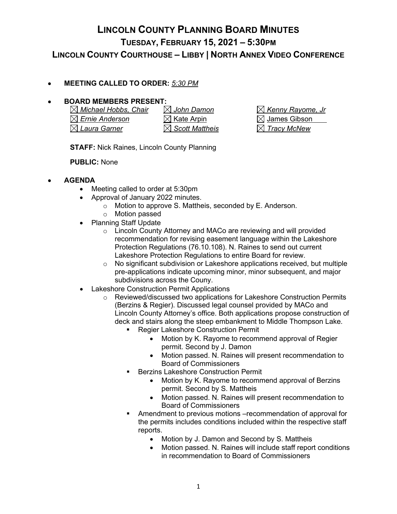### **LINCOLN COUNTY PLANNING BOARD MINUTES TUESDAY, FEBRUARY 15, 2021 – 5:30PM LINCOLN COUNTY COURTHOUSE – LIBBY | NORTH ANNEX VIDEO CONFERENCE**

#### • **MEETING CALLED TO ORDER:** *5:30 PM*

# **BOARD MEMBERS PRESENT:**<br> **N** Michael Hobbs, Chair **N** John Damon

*Michael Hobbs, Chair John Damon Kenny Rayome, Jr*  $\boxtimes$  *Ernie Anderson*  $\boxtimes$  Kate Arpin  $\boxtimes$  James Gibson *Laura Garner Scott Mattheis Tracy McNew*

**STAFF:** Nick Raines, Lincoln County Planning

**PUBLIC:** None

#### • **AGENDA**

- Meeting called to order at 5:30pm
- Approval of January 2022 minutes.
	- o Motion to approve S. Mattheis, seconded by E. Anderson.
	- o Motion passed
- Planning Staff Update
	- o Lincoln County Attorney and MACo are reviewing and will provided recommendation for revising easement language within the Lakeshore Protection Regulations (76.10.108). N. Raines to send out current Lakeshore Protection Regulations to entire Board for review.
	- o No significant subdivision or Lakeshore applications received, but multiple pre-applications indicate upcoming minor, minor subsequent, and major subdivisions across the Couny.
- **Lakeshore Construction Permit Applications** 
	- o Reviewed/discussed two applications for Lakeshore Construction Permits (Berzins & Regier). Discussed legal counsel provided by MACo and Lincoln County Attorney's office. Both applications propose construction of deck and stairs along the steep embankment to Middle Thompson Lake.
		- Regier Lakeshore Construction Permit
			- Motion by K. Rayome to recommend approval of Regier permit. Second by J. Damon
			- Motion passed. N. Raines will present recommendation to Board of Commissioners
		- Berzins Lakeshore Construction Permit
			- Motion by K. Rayome to recommend approval of Berzins permit. Second by S. Mattheis
			- Motion passed. N. Raines will present recommendation to Board of Commissioners
		- Amendment to previous motions –recommendation of approval for the permits includes conditions included within the respective staff reports.
			- Motion by J. Damon and Second by S. Mattheis
			- Motion passed. N. Raines will include staff report conditions in recommendation to Board of Commissioners